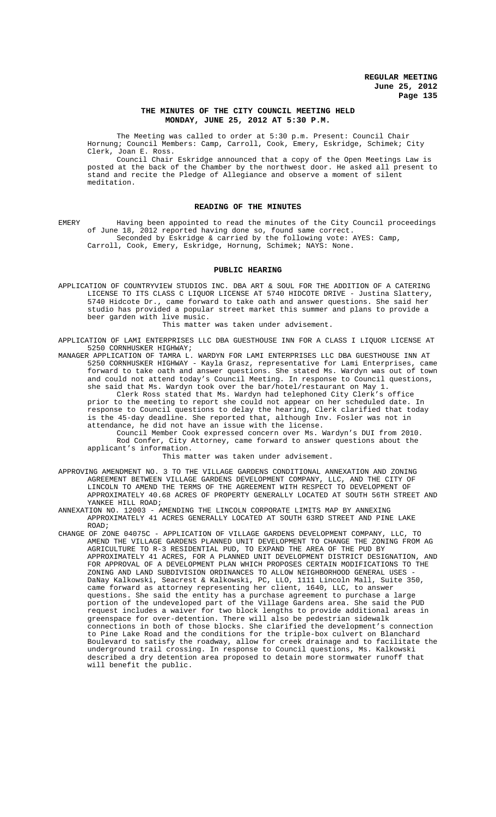### **THE MINUTES OF THE CITY COUNCIL MEETING HELD MONDAY, JUNE 25, 2012 AT 5:30 P.M.**

The Meeting was called to order at 5:30 p.m. Present: Council Chair Hornung; Council Members: Camp, Carroll, Cook, Emery, Eskridge, Schimek; City Clerk, Joan E. Ross.

Council Chair Eskridge announced that a copy of the Open Meetings Law is posted at the back of the Chamber by the northwest door. He asked all present to stand and recite the Pledge of Allegiance and observe a moment of silent meditation.

## **READING OF THE MINUTES**

EMERY Having been appointed to read the minutes of the City Council proceedings of June 18, 2012 reported having done so, found same correct. Seconded by Eskridge & carried by the following vote: AYES: Camp, Carroll, Cook, Emery, Eskridge, Hornung, Schimek; NAYS: None.

#### **PUBLIC HEARING**

APPLICATION OF COUNTRYVIEW STUDIOS INC. DBA ART & SOUL FOR THE ADDITION OF A CATERING LICENSE TO ITS CLASS C LIQUOR LICENSE AT 5740 HIDCOTE DRIVE - Justina Slattery, 5740 Hidcote Dr., came forward to take oath and answer questions. She said her studio has provided a popular street market this summer and plans to provide a beer garden with live music.

This matter was taken under advisement.

APPLICATION OF LAMI ENTERPRISES LLC DBA GUESTHOUSE INN FOR A CLASS I LIQUOR LICENSE AT 5250 CORNHUSKER HIGHWAY;

MANAGER APPLICATION OF TAMRA L. WARDYN FOR LAMI ENTERPRISES LLC DBA GUESTHOUSE INN AT 5250 CORNHUSKER HIGHWAY - Kayla Grasz, representative for Lami Enterprises, came forward to take oath and answer questions. She stated Ms. Wardyn was out of town and could not attend today's Council Meeting. In response to Council questions, she said that Ms. Wardyn took over the bar/hotel/restaurant on May 1.

Clerk Ross stated that Ms. Wardyn had telephoned City Clerk's office prior to the meeting to report she could not appear on her scheduled date. In response to Council questions to delay the hearing, Clerk clarified that today is the 45-day deadline. She reported that, although Inv. Fosler was not in attendance, he did not have an issue with the license.

Council Member Cook expressed concern over Ms. Wardyn's DUI from 2010. Rod Confer, City Attorney, came forward to answer questions about the applicant's information.

This matter was taken under advisement.

APPROVING AMENDMENT NO. 3 TO THE VILLAGE GARDENS CONDITIONAL ANNEXATION AND ZONING AGREEMENT BETWEEN VILLAGE GARDENS DEVELOPMENT COMPANY, LLC, AND THE CITY OF LINCOLN TO AMEND THE TERMS OF THE AGREEMENT WITH RESPECT TO DEVELOPMENT OF APPROXIMATELY 40.68 ACRES OF PROPERTY GENERALLY LOCATED AT SOUTH 56TH STREET AND YANKEE HILL ROAD;

ANNEXATION NO. 12003 - AMENDING THE LINCOLN CORPORATE LIMITS MAP BY ANNEXING APPROXIMATELY 41 ACRES GENERALLY LOCATED AT SOUTH 63RD STREET AND PINE LAKE ROAD;

CHANGE OF ZONE 04075C - APPLICATION OF VILLAGE GARDENS DEVELOPMENT COMPANY, LLC, TO AMEND THE VILLAGE GARDENS PLANNED UNIT DEVELOPMENT TO CHANGE THE ZONING FROM AG AGRICULTURE TO R-3 RESIDENTIAL PUD, TO EXPAND THE AREA OF THE PUD BY APPROXIMATELY 41 ACRES, FOR A PLANNED UNIT DEVELOPMENT DISTRICT DESIGNATION, AND FOR APPROVAL OF A DEVELOPMENT PLAN WHICH PROPOSES CERTAIN MODIFICATIONS TO THE ZONING AND LAND SUBDIVISION ORDINANCES TO ALLOW NEIGHBORHOOD GENERAL USES - DaNay Kalkowski, Seacrest & Kalkowski, PC, LLO, 1111 Lincoln Mall, Suite 350, came forward as attorney representing her client, 1640, LLC, to answer questions. She said the entity has a purchase agreement to purchase a large portion of the undeveloped part of the Village Gardens area. She said the PUD request includes a waiver for two block lengths to provide additional areas in greenspace for over-detention. There will also be pedestrian sidewalk connections in both of those blocks. She clarified the development's connection to Pine Lake Road and the conditions for the triple-box culvert on Blanchard Boulevard to satisfy the roadway, allow for creek drainage and to facilitate the underground trail crossing. In response to Council questions, Ms. Kalkowski described a dry detention area proposed to detain more stormwater runoff that will benefit the public.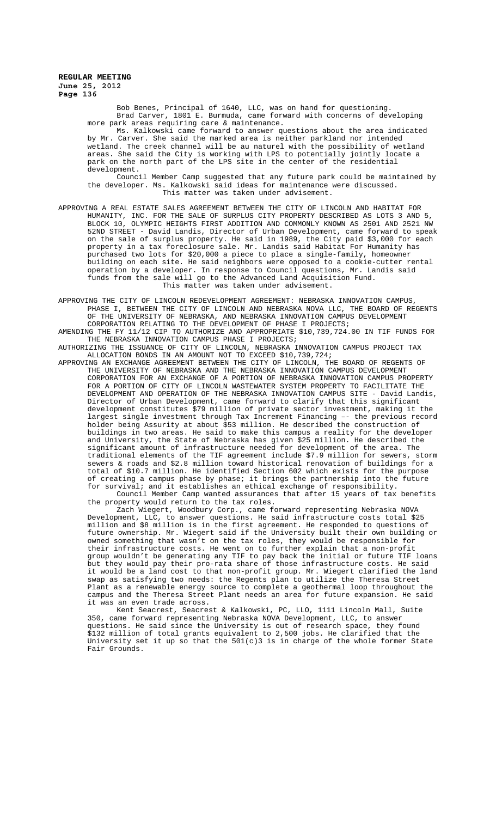> Bob Benes, Principal of 1640, LLC, was on hand for questioning. Brad Carver, 1801 E. Burmuda, came forward with concerns of developing more park areas requiring care & maintenance. Ms. Kalkowski came forward to answer questions about the area indicated by Mr. Carver. She said the marked area is neither parkland nor intended wetland. The creek channel will be au naturel with the possibility of wetland

areas. She said the City is working with LPS to potentially jointly locate a park on the north part of the LPS site in the center of the residential development. Council Member Camp suggested that any future park could be maintained by

the developer. Ms. Kalkowski said ideas for maintenance were discussed. This matter was taken under advisement.

APPROVING A REAL ESTATE SALES AGREEMENT BETWEEN THE CITY OF LINCOLN AND HABITAT FOR HUMANITY, INC. FOR THE SALE OF SURPLUS CITY PROPERTY DESCRIBED AS LOTS 3 AND 5, BLOCK 10, OLYMPIC HEIGHTS FIRST ADDITION AND COMMONLY KNOWN AS 2501 AND 2521 NW 52ND STREET - David Landis, Director of Urban Development, came forward to speak on the sale of surplus property. He said in 1989, the City paid \$3,000 for each property in a tax foreclosure sale. Mr. Landis said Habitat For Humanity has purchased two lots for \$20,000 a piece to place a single-family, homeowner building on each site. He said neighbors were opposed to a cookie-cutter rental operation by a developer. In response to Council questions, Mr. Landis said funds from the sale will go to the Advanced Land Acquisition Fund. This matter was taken under advisement.

APPROVING THE CITY OF LINCOLN REDEVELOPMENT AGREEMENT: NEBRASKA INNOVATION CAMPUS, PHASE I, BETWEEN THE CITY OF LINCOLN AND NEBRASKA NOVA LLC. THE BOARD OF REGENTS OF THE UNIVERSITY OF NEBRASKA, AND NEBRASKA INNOVATION CAMPUS DEVELOPMENT CORPORATION RELATING TO THE DEVELOPMENT OF PHASE I PROJECTS;

AMENDING THE FY 11/12 CIP TO AUTHORIZE AND APPROPRIATE \$10,739,724.00 IN TIF FUNDS FOR THE NEBRASKA INNOVATION CAMPUS PHASE I PROJECTS;

AUTHORIZING THE ISSUANCE OF CITY OF LINCOLN, NEBRASKA INNOVATION CAMPUS PROJECT TAX ALLOCATION BONDS IN AN AMOUNT NOT TO EXCEED \$10,739,724;

APPROVING AN EXCHANGE AGREEMENT BETWEEN THE CITY OF LINCOLN, THE BOARD OF REGENTS OF THE UNIVERSITY OF NEBRASKA AND THE NEBRASKA INNOVATION CAMPUS DEVELOPMENT CORPORATION FOR AN EXCHANGE OF A PORTION OF NEBRASKA INNOVATION CAMPUS PROPERTY FOR A PORTION OF CITY OF LINCOLN WASTEWATER SYSTEM PROPERTY TO FACILITATE THE DEVELOPMENT AND OPERATION OF THE NEBRASKA INNOVATION CAMPUS SITE - David Landis, Director of Urban Development, came forward to clarify that this significant development constitutes \$79 million of private sector investment, making it the largest single investment through Tax Increment Financing –- the previous record holder being Assurity at about \$53 million. He described the construction of buildings in two areas. He said to make this campus a reality for the developer and University, the State of Nebraska has given \$25 million. He described the significant amount of infrastructure needed for development of the area. The traditional elements of the TIF agreement include \$7.9 million for sewers, storm sewers & roads and \$2.8 million toward historical renovation of buildings for a total of \$10.7 million. He identified Section 602 which exists for the purpose of creating a campus phase by phase; it brings the partnership into the future for survival; and it establishes an ethical exchange of responsibility. Council Member Camp wanted assurances that after 15 years of tax benefits

the property would return to the tax roles.

Zach Wiegert, Woodbury Corp., came forward representing Nebraska NOVA Development, LLC, to answer questions. He said infrastructure costs total \$25 million and \$8 million is in the first agreement. He responded to questions of future ownership. Mr. Wiegert said if the University built their own building or owned something that wasn't on the tax roles, they would be responsible for their infrastructure costs. He went on to further explain that a non-profit group wouldn't be generating any TIF to pay back the initial or future TIF loans but they would pay their pro-rata share of those infrastructure costs. He said but they would pay their pro-rata share of those infrastructure costs. He said<br>it would be a land cost to that non-profit group. Mr. Wiegert clarified the land swap as satisfying two needs: the Regents plan to utilize the Theresa Street Plant as a renewable energy source to complete a geothermal loop throughout the campus and the Theresa Street Plant needs an area for future expansion. He said it was an even trade across.

Kent Seacrest, Seacrest & Kalkowski, PC, LLO, 1111 Lincoln Mall, Suite 350, came forward representing Nebraska NOVA Development, LLC, to answer questions. He said since the University is out of research space, they found \$132 million of total grants equivalent to 2,500 jobs. He clarified that the University set it up so that the  $501(c)3$  is in charge of the whole former State Fair Grounds.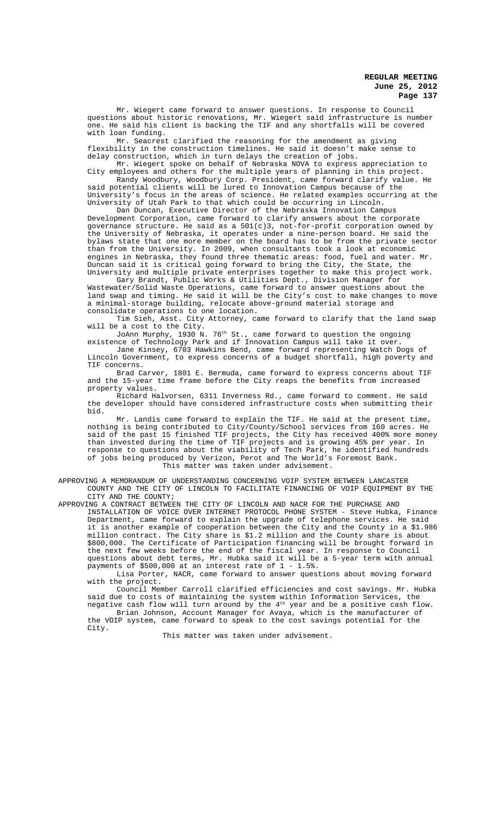Mr. Wiegert came forward to answer questions. In response to Council questions about historic renovations, Mr. Wiegert said infrastructure is number one. He said his client is backing the TIF and any shortfalls will be covered with loan funding.

Mr. Seacrest clarified the reasoning for the amendment as giving flexibility in the construction timelines. He said it doesn't make sense to delay construction, which in turn delays the creation of jobs.

Mr. Wiegert spoke on behalf of Nebraska NOVA to express appreciation to City employees and others for the multiple years of planning in this project.

Randy Woodbury, Woodbury Corp. President, came forward clarify value. He said potential clients will be lured to Innovation Campus because of the University's focus in the areas of science. He related examples occurring at the University of Utah Park to that which could be occurring in Lincoln.

Dan Duncan, Executive Director of the Nebraska Innovation Campus Development Corporation, came forward to clarify answers about the corporate governance structure. He said as a 501(c)3, not-for-profit corporation owned by the University of Nebraska, it operates under a nine-person board. He said the bylaws state that one more member on the board has to be from the private sector than from the University. In 2009, when consultants took a look at economic engines in Nebraska, they found three thematic areas: food, fuel and water. Mr. Duncan said it is critical going forward to bring the City, the State, the University and multiple private enterprises together to make this project work.

Gary Brandt, Public Works & Utilities Dept., Division Manager for Wastewater/Solid Waste Operations, came forward to answer questions about the land swap and timing. He said it will be the City's cost to make changes to move a minimal-storage building, relocate above-ground material storage and consolidate operations to one location.

Tim Sieh, Asst. City Attorney, came forward to clarify that the land swap will be a cost to the City.

JoAnn Murphy, 1930 N.  $76^{\rm th}$  St., came forward to question the ongoing

existence of Technology Park and if Innovation Campus will take it over. Jane Kinsey, 6703 Hawkins Bend, came forward representing Watch Dogs of Lincoln Government, to express concerns of a budget shortfall, high poverty and TIF concerns.

Brad Carver, 1801 E. Bermuda, came forward to express concerns about TIF and the 15-year time frame before the City reaps the benefits from increased property values.

Richard Halvorsen, 6311 Inverness Rd., came forward to comment. He said the developer should have considered infrastructure costs when submitting their bid.

Mr. Landis came forward to explain the TIF. He said at the present time, nothing is being contributed to City/County/School services from 160 acres. He said of the past 15 finished TIF projects, the City has received 400% more money than invested during the time of TIF projects and is growing 45% per year. In response to questions about the viability of Tech Park, he identified hundreds of jobs being produced by Verizon, Perot and The World's Foremost Bank. This matter was taken under advisement.

APPROVING A MEMORANDUM OF UNDERSTANDING CONCERNING VOIP SYSTEM BETWEEN LANCASTER COUNTY AND THE CITY OF LINCOLN TO FACILITATE FINANCING OF VOIP EQUIPMENT BY THE CITY AND THE COUNTY;

APPROVING A CONTRACT BETWEEN THE CITY OF LINCOLN AND NACR FOR THE PURCHASE AND INSTALLATION OF VOICE OVER INTERNET PROTOCOL PHONE SYSTEM - Steve Hubka, Finance Department, came forward to explain the upgrade of telephone services. He said<br>it is another example of cooperation between the City and the County in a \$1.9 is another example of cooperation between the City and the County in a \$1.986 million contract. The City share is \$1.2 million and the County share is about \$800,000. The Certificate of Participation financing will be brought forward in the next few weeks before the end of the fiscal year. In response to Council questions about debt terms, Mr. Hubka said it will be a 5-year term with annual payments of \$500,000 at an interest rate of 1 - 1.5%.

Lisa Porter, NACR, came forward to answer questions about moving forward with the project.

Council Member Carroll clarified efficiencies and cost savings. Mr. Hubka said due to costs of maintaining the system within Information Services, the negative cash flow will turn around by the 4th year and be a positive cash flow. Brian Johnson, Account Manager for Avaya, which is the manufacturer of the VOIP system, came forward to speak to the cost savings potential for the City.

This matter was taken under advisement.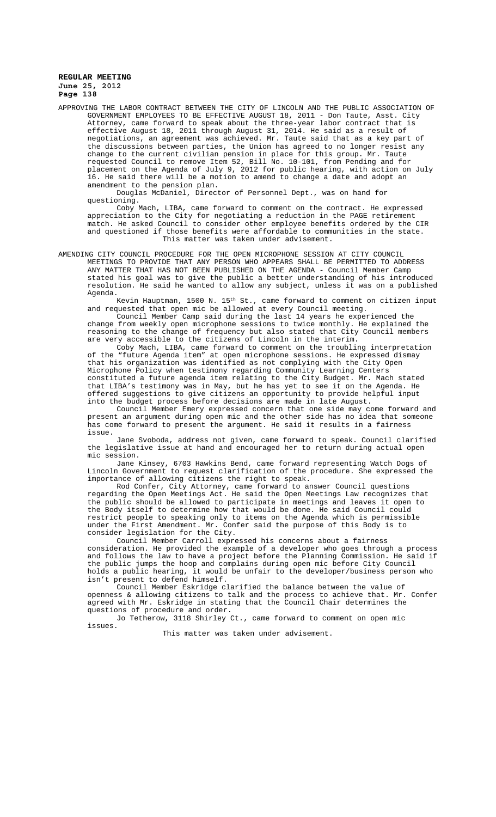APPROVING THE LABOR CONTRACT BETWEEN THE CITY OF LINCOLN AND THE PUBLIC ASSOCIATION OF GOVERNMENT EMPLOYEES TO BE EFFECTIVE AUGUST 18, 2011 - Don Taute, Asst. City Attorney, came forward to speak about the three-year labor contract that is effective August 18, 2011 through August 31, 2014. He said as a result of negotiations, an agreement was achieved. Mr. Taute said that as a key part of the discussions between parties, the Union has agreed to no longer resist any change to the current civilian pension in place for this group. Mr. Taute requested Council to remove Item 52, Bill No. 10-101, from Pending and for placement on the Agenda of July 9, 2012 for public hearing, with action on July 16. He said there will be a motion to amend to change a date and adopt an amendment to the pension plan.

Douglas McDaniel, Director of Personnel Dept., was on hand for questioning.

Coby Mach, LIBA, came forward to comment on the contract. He expressed appreciation to the City for negotiating a reduction in the PAGE retirement match. He asked Council to consider other employee benefits ordered by the CIR and questioned if those benefits were affordable to communities in the state. This matter was taken under advisement.

AMENDING CITY COUNCIL PROCEDURE FOR THE OPEN MICROPHONE SESSION AT CITY COUNCIL MEETINGS TO PROVIDE THAT ANY PERSON WHO APPEARS SHALL BE PERMITTED TO ADDRESS ANY MATTER THAT HAS NOT BEEN PUBLISHED ON THE AGENDA - Council Member Camp stated his goal was to give the public a better understanding of his introduced resolution. He said he wanted to allow any subject, unless it was on a published Agenda.

.<br>Kevin Hauptman, 1500 N. 15<sup>th</sup> St., came forward to comment on citizen input and requested that open mic be allowed at every Council meeting.

Council Member Camp said during the last 14 years he experienced the change from weekly open microphone sessions to twice monthly. He explained the reasoning to the change of frequency but also stated that City Council members are very accessible to the citizens of Lincoln in the interim.

Coby Mach, LIBA, came forward to comment on the troubling interpretation of the "future Agenda item" at open microphone sessions. He expressed dismay that his organization was identified as not complying with the City Open Microphone Policy when testimony regarding Community Learning Centers constituted a future agenda item relating to the City Budget. Mr. Mach stated that LIBA's testimony was in May, but he has yet to see it on the Agenda. He offered suggestions to give citizens an opportunity to provide helpful input into the budget process before decisions are made in late August.

Council Member Emery expressed concern that one side may come forward and present an argument during open mic and the other side has no idea that someone has come forward to present the argument. He said it results in a fairness issue.

Jane Svoboda, address not given, came forward to speak. Council clarified the legislative issue at hand and encouraged her to return during actual open mic session.

Jane Kinsey, 6703 Hawkins Bend, came forward representing Watch Dogs of Lincoln Government to request clarification of the procedure. She expressed the importance of allowing citizens the right to speak.

Rod Confer, City Attorney, came forward to answer Council questions regarding the Open Meetings Act. He said the Open Meetings Law recognizes that the public should be allowed to participate in meetings and leaves it open to the Body itself to determine how that would be done. He said Council could restrict people to speaking only to items on the Agenda which is permissible under the First Amendment. Mr. Confer said the purpose of this Body is to consider legislation for the City.

Council Member Carroll expressed his concerns about a fairness consideration. He provided the example of a developer who goes through a process and follows the law to have a project before the Planning Commission. He said if the public jumps the hoop and complains during open mic before City Council holds a public hearing, it would be unfair to the developer/business person who isn't present to defend himself.

Council Member Eskridge clarified the balance between the value of openness & allowing citizens to talk and the process to achieve that. Mr. Confer agreed with Mr. Eskridge in stating that the Council Chair determines the questions of procedure and order.

Jo Tetherow, 3118 Shirley Ct., came forward to comment on open mic issues.

This matter was taken under advisement.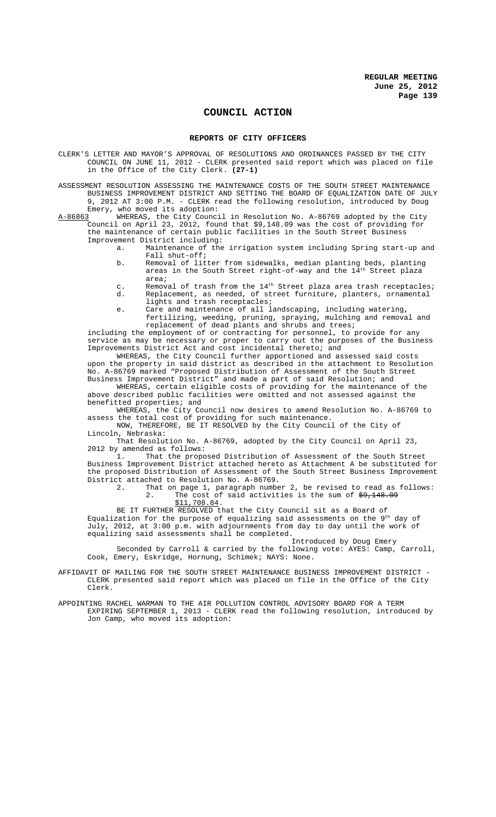# **COUNCIL ACTION**

#### **REPORTS OF CITY OFFICERS**

CLERK'S LETTER AND MAYOR'S APPROVAL OF RESOLUTIONS AND ORDINANCES PASSED BY THE CITY COUNCIL ON JUNE 11, 2012 - CLERK presented said report which was placed on file in the Office of the City Clerk. **(27-1)**

ASSESSMENT RESOLUTION ASSESSING THE MAINTENANCE COSTS OF THE SOUTH STREET MAINTENANCE BUSINESS IMPROVEMENT DISTRICT AND SETTING THE BOARD OF EQUALIZATION DATE OF JULY 9, 2012 AT 3:00 P.M. - CLERK read the following resolution, introduced by Doug

Emery, who moved its adoption:<br>A-86863 WHEREAS, the City Counci A-86863 WHEREAS, the City Council in Resolution No. A-86769 adopted by the City Council on April 23, 2012, found that \$9,148.09 was the cost of providing for the maintenance of certain public facilities in the South Street Business Improvement District including:

- a. Maintenance of the irrigation system including Spring start-up and Fall shut-off;
	- b. Removal of litter from sidewalks, median planting beds, planting areas in the South Street right-of-way and the  $14^{\rm th}$  Street plaza area;
	- c. Removal of trash from the 14<sup>th</sup> Street plaza area trash receptacles;<br>d. Replacement, as needed, of street furniture, planters, ornamental Replacement, as needed, of street furniture, planters, ornamental lights and trash receptacles;
	- e. Care and maintenance of all landscaping, including watering, fertilizing, weeding, pruning, spraying, mulching and removal and

replacement of dead plants and shrubs and trees; including the employment of or contracting for personnel, to provide for any service as may be necessary or proper to carry out the purposes of the Business Improvements District Act and cost incidental thereto; and

WHEREAS, the City Council further apportioned and assessed said costs upon the property in said district as described in the attachment to Resolution No. A-86769 marked "Proposed Distribution of Assessment of the South Street Business Improvement District" and made a part of said Resolution; and

WHEREAS, certain eligible costs of providing for the maintenance of the above described public facilities were omitted and not assessed against the benefitted properties; and

WHEREAS, the City Council now desires to amend Resolution No. A-86769 to assess the total cost of providing for such maintenance.

NOW, THEREFORE, BE IT RESOLVED by the City Council of the City of Lincoln, Nebraska:

That Resolution No. A-86769, adopted by the City Council on April 23, 2012 by amended as follows:<br>1. That the propo

That the proposed Distribution of Assessment of the South Street Business Improvement District attached hereto as Attachment A be substituted for the proposed Distribution of Assessment of the South Street Business Improvement District attached to Resolution No. A-86769.<br>2. That on page 1, paragraph numbe

That on page 1, paragraph number 2, be revised to read as follows:<br>2. The cost of said activities is the sum of  $\frac{49,148,09}{ }$ The cost of said activities is the sum of  $\frac{49,148.09}{2}$ \$11,708.84.

BE IT FURTHER RESOLVED that the City Council sit as a Board of

Equalization for the purpose of equalizing said assessments on the  $9^{\rm th}$  day of July, 2012, at 3:00 p.m. with adjournments from day to day until the work of equalizing said assessments shall be completed.

Introduced by Doug Emery Seconded by Carroll & carried by the following vote: AYES: Camp, Carroll, Cook, Emery, Eskridge, Hornung, Schimek; NAYS: None.

AFFIDAVIT OF MAILING FOR THE SOUTH STREET MAINTENANCE BUSINESS IMPROVEMENT DISTRICT - CLERK presented said report which was placed on file in the Office of the City Clerk.

APPOINTING RACHEL WARMAN TO THE AIR POLLUTION CONTROL ADVISORY BOARD FOR A TERM EXPIRING SEPTEMBER 1, 2013 - CLERK read the following resolution, introduced by Jon Camp, who moved its adoption: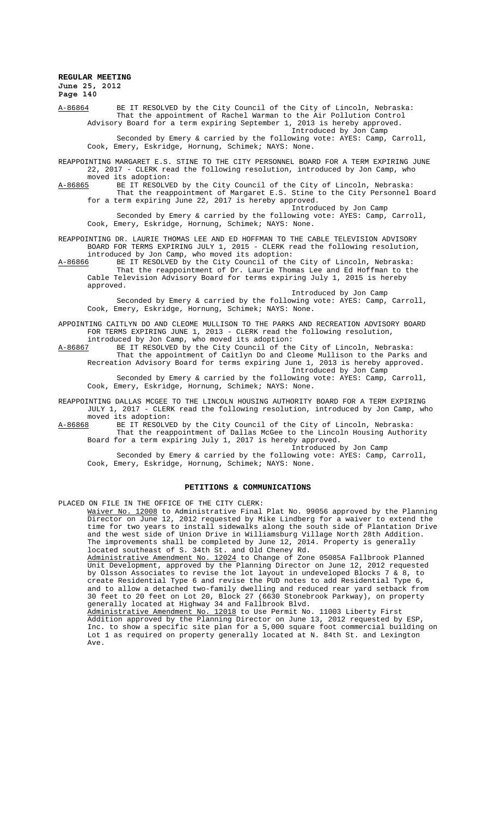A-86864 BE IT RESOLVED by the City Council of the City of Lincoln, Nebraska: That the appointment of Rachel Warman to the Air Pollution Control Advisory Board for a term expiring September 1, 2013 is hereby approved. Introduced by Jon Camp

Seconded by Emery & carried by the following vote: AYES: Camp, Carroll, Cook, Emery, Eskridge, Hornung, Schimek; NAYS: None.

REAPPOINTING MARGARET E.S. STINE TO THE CITY PERSONNEL BOARD FOR A TERM EXPIRING JUNE 22, 2017 - CLERK read the following resolution, introduced by Jon Camp, who

moved its adoption:<br>A-86865 BE IT RESOLVI BE IT RESOLVED by the City Council of the City of Lincoln, Nebraska: That the reappointment of Margaret E.S. Stine to the City Personnel Board for a term expiring June 22, 2017 is hereby approved.

Introduced by Jon Camp Seconded by Emery & carried by the following vote: AYES: Camp, Carroll, Cook, Emery, Eskridge, Hornung, Schimek; NAYS: None.

REAPPOINTING DR. LAURIE THOMAS LEE AND ED HOFFMAN TO THE CABLE TELEVISION ADVISORY BOARD FOR TERMS EXPIRING JULY 1, 2015 - CLERK read the following resolution, introduced by Jon Camp, who moved its adoption:

A-86866 BE IT RESOLVED by the City Council of the City of Lincoln, Nebraska: That the reappointment of Dr. Laurie Thomas Lee and Ed Hoffman to the Cable Television Advisory Board for terms expiring July 1, 2015 is hereby approved.

Introduced by Jon Camp

Seconded by Emery & carried by the following vote: AYES: Camp, Carroll, Cook, Emery, Eskridge, Hornung, Schimek; NAYS: None.

APPOINTING CAITLYN DO AND CLEOME MULLISON TO THE PARKS AND RECREATION ADVISORY BOARD FOR TERMS EXPIRING JUNE 1, 2013 - CLERK read the following resolution,

introduced by Jon Camp, who moved its adoption: A-86867 BE IT RESOLVED by the City Council of the City of Lincoln, Nebraska: That the appointment of Caitlyn Do and Cleome Mullison to the Parks and

Recreation Advisory Board for terms expiring June 1, 2013 is hereby approved. Introduced by Jon Camp Seconded by Emery & carried by the following vote: AYES: Camp, Carroll,

Cook, Emery, Eskridge, Hornung, Schimek; NAYS: None.

REAPPOINTING DALLAS MCGEE TO THE LINCOLN HOUSING AUTHORITY BOARD FOR A TERM EXPIRING JULY 1, 2017 - CLERK read the following resolution, introduced by Jon Camp, who moved its adoption:<br>A-86868 BE IT RESOLVE

A-86868 BE IT RESOLVED by the City Council of the City of Lincoln, Nebraska: That the reappointment of Dallas McGee to the Lincoln Housing Authority Board for a term expiring July 1, 2017 is hereby approved.

Introduced by Jon Camp Seconded by Emery & carried by the following vote: AYES: Camp, Carroll, Cook, Emery, Eskridge, Hornung, Schimek; NAYS: None.

# **PETITIONS & COMMUNICATIONS**

PLACED ON FILE IN THE OFFICE OF THE CITY CLERK:

Waiver No. 12008 to Administrative Final Plat No. 99056 approved by the Planning Director on June 12, 2012 requested by Mike Lindberg for a waiver to extend the time for two years to install sidewalks along the south side of Plantation Drive and the west side of Union Drive in Williamsburg Village North 28th Addition. The improvements shall be completed by June 12, 2014. Property is generally located southeast of S. 34th St. and Old Cheney Rd.

Administrative Amendment No. 12024 to Change of Zone 05085A Fallbrook Planned Unit Development, approved by the Planning Director on June 12, 2012 requested by Olsson Associates to revise the lot layout in undeveloped Blocks 7 & 8, to create Residential Type 6 and revise the PUD notes to add Residential Type 6, and to allow a detached two-family dwelling and reduced rear yard setback from 30 feet to 20 feet on Lot 20, Block 27 (6630 Stonebrook Parkway), on property generally located at Highway 34 and Fallbrook Blvd.

Administrative Amendment No. 12018 to Use Permit No. 11003 Liberty First Addition approved by the Planning Director on June 13, 2012 requested by ESP, Inc. to show a specific site plan for a 5,000 square foot commercial building on Lot 1 as required on property generally located at N. 84th St. and Lexington Ave.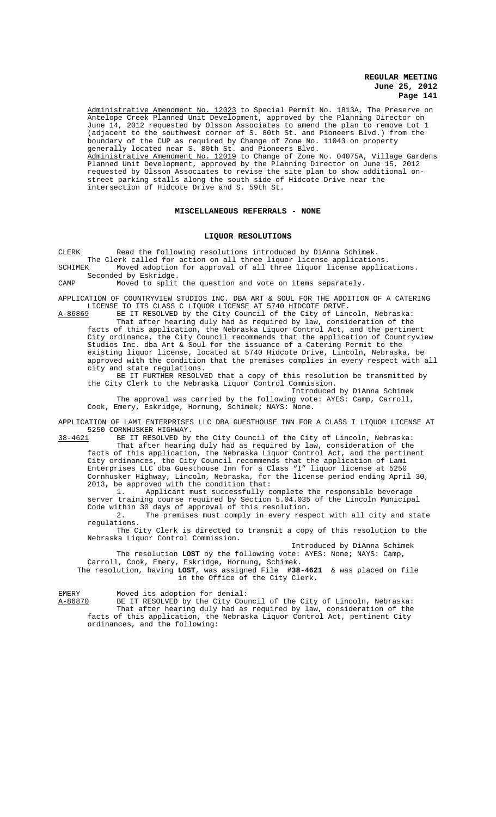Administrative Amendment No. 12023 to Special Permit No. 1813A, The Preserve on Antelope Creek Planned Unit Development, approved by the Planning Director on June 14, 2012 requested by Olsson Associates to amend the plan to remove Lot 1 (adjacent to the southwest corner of S. 80th St. and Pioneers Blvd.) from the boundary of the CUP as required by Change of Zone No. 11043 on property generally located near S. 80th St. and Pioneers Blvd. Administrative Amendment No. 12019 to Change of Zone No. 04075A, Village Gardens Planned Unit Development, approved by the Planning Director on June 15, 2012 requested by Olsson Associates to revise the site plan to show additional onstreet parking stalls along the south side of Hidcote Drive near the intersection of Hidcote Drive and S. 59th St.

#### **MISCELLANEOUS REFERRALS - NONE**

#### **LIQUOR RESOLUTIONS**

CLERK Read the following resolutions introduced by DiAnna Schimek. The Clerk called for action on all three liquor license applications. SCHIMEK Moved adoption for approval of all three liquor license applications.

Seconded by Eskridge.

CAMP Moved to split the question and vote on items separately.

APPLICATION OF COUNTRYVIEW STUDIOS INC. DBA ART & SOUL FOR THE ADDITION OF A CATERING LICENSE TO ITS CLASS C LIQUOR LICENSE AT 5740 HIDCOTE DRIVE.

A-86869 BE IT RESOLVED by the City Council of the City of Lincoln, Nebraska: That after hearing duly had as required by law, consideration of the facts of this application, the Nebraska Liquor Control Act, and the pertinent City ordinance, the City Council recommends that the application of Countryview Studios Inc. dba Art & Soul for the issuance of a Catering Permit to the existing liquor license, located at 5740 Hidcote Drive, Lincoln, Nebraska, be approved with the condition that the premises complies in every respect with all city and state regulations.

BE IT FURTHER RESOLVED that a copy of this resolution be transmitted by the City Clerk to the Nebraska Liquor Control Commission.

Introduced by DiAnna Schimek The approval was carried by the following vote: AYES: Camp, Carroll, Cook, Emery, Eskridge, Hornung, Schimek; NAYS: None.

APPLICATION OF LAMI ENTERPRISES LLC DBA GUESTHOUSE INN FOR A CLASS I LIQUOR LICENSE AT 5250 CORNHUSKER HIGHWAY.<br>38-4621 BE IT RESOLVED by

BE IT RESOLVED by the City Council of the City of Lincoln, Nebraska: That after hearing duly had as required by law, consideration of the facts of this application, the Nebraska Liquor Control Act, and the pertinent City ordinances, the City Council recommends that the application of Lami Enterprises LLC dba Guesthouse Inn for a Class "I" liquor license at 5250 Cornhusker Highway, Lincoln, Nebraska, for the license period ending April 30, 2013, be approved with the condition that:<br>1. Applicant must successfully

Applicant must successfully complete the responsible beverage server training course required by Section 5.04.035 of the Lincoln Municipal Code within 30 days of approval of this resolution.

2. The premises must comply in every respect with all city and state regulations.

The City Clerk is directed to transmit a copy of this resolution to the Nebraska Liquor Control Commission.

Introduced by DiAnna Schimek The resolution **LOST** by the following vote: AYES: None; NAYS: Camp, Carroll, Cook, Emery, Eskridge, Hornung, Schimek.

The resolution, having **LOST**, was assigned File **#38-4621** & was placed on file in the Office of the City Clerk.

EMERY Moved its adoption for denial:<br>A-86870 BE IT RESOLVED by the City Cou BE IT RESOLVED by the City Council of the City of Lincoln, Nebraska: That after hearing duly had as required by law, consideration of the facts of this application, the Nebraska Liquor Control Act, pertinent City ordinances, and the following: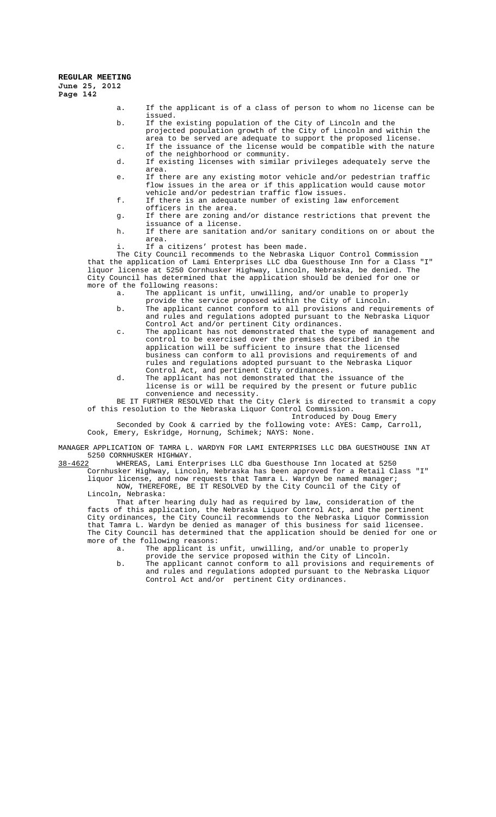- a. If the applicant is of a class of person to whom no license can be issued.
- b. If the existing population of the City of Lincoln and the projected population growth of the City of Lincoln and within the area to be served are adequate to support the proposed license. c. If the issuance of the license would be compatible with the nature
- of the neighborhood or community.
- d. If existing licenses with similar privileges adequately serve the area.
- e. If there are any existing motor vehicle and/or pedestrian traffic flow issues in the area or if this application would cause motor vehicle and/or pedestrian traffic flow issues.
- f. If there is an adequate number of existing law enforcement
- officers in the area. g. If there are zoning and/or distance restrictions that prevent the
- issuance of a license.
- h. If there are sanitation and/or sanitary conditions on or about the area.
- i. If a citizens' protest has been made.

The City Council recommends to the Nebraska Liquor Control Commission that the application of Lami Enterprises LLC dba Guesthouse Inn for a Class "I" liquor license at 5250 Cornhusker Highway, Lincoln, Nebraska, be denied. The City Council has determined that the application should be denied for one or more of the following reasons:

- a. The applicant is unfit, unwilling, and/or unable to properly
- provide the service proposed within the City of Lincoln. b. The applicant cannot conform to all provisions and requirements of and rules and regulations adopted pursuant to the Nebraska Liquor Control Act and/or pertinent City ordinances.
- c. The applicant has not demonstrated that the type of management and control to be exercised over the premises described in the application will be sufficient to insure that the licensed business can conform to all provisions and requirements of and rules and regulations adopted pursuant to the Nebraska Liquor Control Act, and pertinent City ordinances.
- d. The applicant has not demonstrated that the issuance of the license is or will be required by the present or future public convenience and necessity.

BE IT FURTHER RESOLVED that the City Clerk is directed to transmit a copy of this resolution to the Nebraska Liquor Control Commission.

Introduced by Doug Emery Seconded by Cook & carried by the following vote: AYES: Camp, Carroll, Cook, Emery, Eskridge, Hornung, Schimek; NAYS: None.

MANAGER APPLICATION OF TAMRA L. WARDYN FOR LAMI ENTERPRISES LLC DBA GUESTHOUSE INN AT 5250 CORNHUSKER HIGHWAY.<br>38-4622 WHEREAS, Lami Ente

WHEREAS, Lami Enterprises LLC dba Guesthouse Inn located at 5250

Cornhusker Highway, Lincoln, Nebraska has been approved for a Retail Class "I" liquor license, and now requests that Tamra L. Wardyn be named manager; NOW, THEREFORE, BE IT RESOLVED by the City Council of the City of Lincoln, Nebraska:

That after hearing duly had as required by law, consideration of the facts of this application, the Nebraska Liquor Control Act, and the pertinent City ordinances, the City Council recommends to the Nebraska Liquor Commission that Tamra L. Wardyn be denied as manager of this business for said licensee. The City Council has determined that the application should be denied for one or more of the following reasons:

- a. The applicant is unfit, unwilling, and/or unable to properly provide the service proposed within the City of Lincoln.
- b. The applicant cannot conform to all provisions and requirements of and rules and regulations adopted pursuant to the Nebraska Liquor Control Act and/or pertinent City ordinances.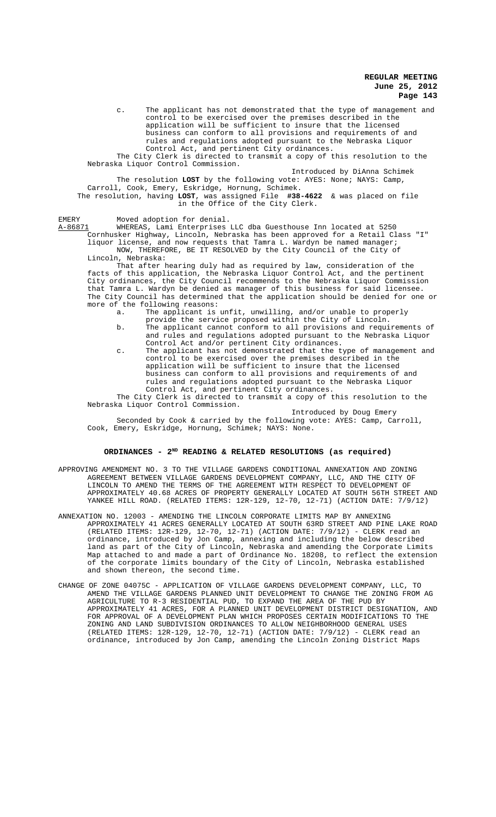c. The applicant has not demonstrated that the type of management and control to be exercised over the premises described in the application will be sufficient to insure that the licensed business can conform to all provisions and requirements of and rules and regulations adopted pursuant to the Nebraska Liquor Control Act, and pertinent City ordinances.

The City Clerk is directed to transmit a copy of this resolution to the Nebraska Liquor Control Commission.

Introduced by DiAnna Schimek The resolution **LOST** by the following vote: AYES: None; NAYS: Camp, Carroll, Cook, Emery, Eskridge, Hornung, Schimek. The resolution, having **LOST**, was assigned File **#38-4622** & was placed on file in the Office of the City Clerk.

EMERY Moved adoption for denial.

A-86871 WHEREAS, Lami Enterprises LLC dba Guesthouse Inn located at 5250 Cornhusker Highway, Lincoln, Nebraska has been approved for a Retail Class "I" liquor license, and now requests that Tamra L. Wardyn be named manager; NOW, THEREFORE, BE IT RESOLVED by the City Council of the City of Lincoln, Nebraska:

That after hearing duly had as required by law, consideration of the facts of this application, the Nebraska Liquor Control Act, and the pertinent City ordinances, the City Council recommends to the Nebraska Liquor Commission that Tamra L. Wardyn be denied as manager of this business for said licensee. The City Council has determined that the application should be denied for one or more of the following reasons:<br>a. The applicant is

The applicant is unfit, unwilling, and/or unable to properly provide the service proposed within the City of Lincoln.

- b. The applicant cannot conform to all provisions and requirements of and rules and regulations adopted pursuant to the Nebraska Liquor Control Act and/or pertinent City ordinances.
- c. The applicant has not demonstrated that the type of management and control to be exercised over the premises described in the application will be sufficient to insure that the licensed business can conform to all provisions and requirements of and rules and regulations adopted pursuant to the Nebraska Liquor Control Act, and pertinent City ordinances.

The City Clerk is directed to transmit a copy of this resolution to the Nebraska Liquor Control Commission.

Introduced by Doug Emery Seconded by Cook & carried by the following vote: AYES: Camp, Carroll, Cook, Emery, Eskridge, Hornung, Schimek; NAYS: None.

# ORDINANCES - 2<sup>ND</sup> READING & RELATED RESOLUTIONS (as required)

- APPROVING AMENDMENT NO. 3 TO THE VILLAGE GARDENS CONDITIONAL ANNEXATION AND ZONING AGREEMENT BETWEEN VILLAGE GARDENS DEVELOPMENT COMPANY, LLC, AND THE CITY OF LINCOLN TO AMEND THE TERMS OF THE AGREEMENT WITH RESPECT TO DEVELOPMENT OF APPROXIMATELY 40.68 ACRES OF PROPERTY GENERALLY LOCATED AT SOUTH 56TH STREET AND YANKEE HILL ROAD. (RELATED ITEMS: 12R-129, 12-70, 12-71) (ACTION DATE: 7/9/12)
- ANNEXATION NO. 12003 AMENDING THE LINCOLN CORPORATE LIMITS MAP BY ANNEXING APPROXIMATELY 41 ACRES GENERALLY LOCATED AT SOUTH 63RD STREET AND PINE LAKE ROAD (RELATED ITEMS: 12R-129, 12-70, 12-71) (ACTION DATE: 7/9/12) - CLERK read an ordinance, introduced by Jon Camp, annexing and including the below described land as part of the City of Lincoln, Nebraska and amending the Corporate Limits Map attached to and made a part of Ordinance No. 18208, to reflect the extension of the corporate limits boundary of the City of Lincoln, Nebraska established and shown thereon, the second time.
- CHANGE OF ZONE 04075C APPLICATION OF VILLAGE GARDENS DEVELOPMENT COMPANY, LLC, TO AMEND THE VILLAGE GARDENS PLANNED UNIT DEVELOPMENT TO CHANGE THE ZONING FROM AG AGRICULTURE TO R-3 RESIDENTIAL PUD, TO EXPAND THE AREA OF THE PUD BY APPROXIMATELY 41 ACRES, FOR A PLANNED UNIT DEVELOPMENT DISTRICT DESIGNATION, AND FOR APPROVAL OF A DEVELOPMENT PLAN WHICH PROPOSES CERTAIN MODIFICATIONS TO THE ZONING AND LAND SUBDIVISION ORDINANCES TO ALLOW NEIGHBORHOOD GENERAL USES (RELATED ITEMS: 12R-129, 12-70, 12-71) (ACTION DATE: 7/9/12) - CLERK read an ordinance, introduced by Jon Camp, amending the Lincoln Zoning District Maps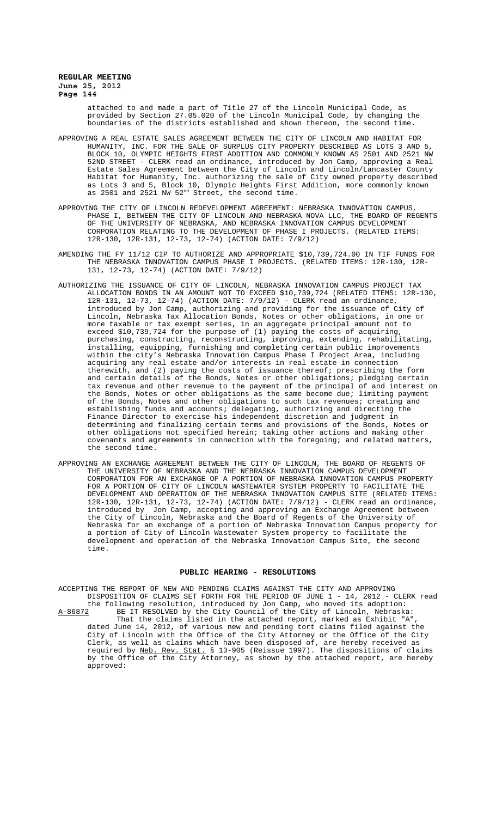attached to and made a part of Title 27 of the Lincoln Municipal Code, as provided by Section 27.05.020 of the Lincoln Municipal Code, by changing the boundaries of the districts established and shown thereon, the second time.

- APPROVING A REAL ESTATE SALES AGREEMENT BETWEEN THE CITY OF LINCOLN AND HABITAT FOR HUMANITY, INC. FOR THE SALE OF SURPLUS CITY PROPERTY DESCRIBED AS LOTS 3 AND 5, BLOCK 10, OLYMPIC HEIGHTS FIRST ADDITION AND COMMONLY KNOWN AS 2501 AND 2521 NW 52ND STREET - CLERK read an ordinance, introduced by Jon Camp, approving a Real Estate Sales Agreement between the City of Lincoln and Lincoln/Lancaster County Habitat for Humanity, Inc. authorizing the sale of City owned property described as Lots 3 and 5, Block 10, Olympic Heights First Addition, more commonly known as 2501 and 2521 NW 52<sup>nd</sup> Street, the second time.
- APPROVING THE CITY OF LINCOLN REDEVELOPMENT AGREEMENT: NEBRASKA INNOVATION CAMPUS, PHASE I, BETWEEN THE CITY OF LINCOLN AND NEBRASKA NOVA LLC, THE BOARD OF REGENTS OF THE UNIVERSITY OF NEBRASKA, AND NEBRASKA INNOVATION CAMPUS DEVELOPMENT CORPORATION RELATING TO THE DEVELOPMENT OF PHASE I PROJECTS. (RELATED ITEMS: 12R-130, 12R-131, 12-73, 12-74) (ACTION DATE: 7/9/12)
- AMENDING THE FY 11/12 CIP TO AUTHORIZE AND APPROPRIATE \$10,739,724.00 IN TIF FUNDS FOR THE NEBRASKA INNOVATION CAMPUS PHASE I PROJECTS. (RELATED ITEMS: 12R-130, 12R-131, 12-73, 12-74) (ACTION DATE: 7/9/12)
- AUTHORIZING THE ISSUANCE OF CITY OF LINCOLN, NEBRASKA INNOVATION CAMPUS PROJECT TAX ALLOCATION BONDS IN AN AMOUNT NOT TO EXCEED \$10,739,724 (RELATED ITEMS: 12R-130, 12R-131, 12-73, 12-74) (ACTION DATE: 7/9/12) - CLERK read an ordinance, introduced by Jon Camp, authorizing and providing for the issuance of City of Lincoln, Nebraska Tax Allocation Bonds, Notes or other obligations, in one or more taxable or tax exempt series, in an aggregate principal amount not to exceed \$10,739,724 for the purpose of (1) paying the costs of acquiring, purchasing, constructing, reconstructing, improving, extending, rehabilitating, installing, equipping, furnishing and completing certain public improvements within the city's Nebraska Innovation Campus Phase I Project Area, including acquiring any real estate and/or interests in real estate in connection therewith, and (2) paying the costs of issuance thereof; prescribing the form and certain details of the Bonds, Notes or other obligations; pledging certain tax revenue and other revenue to the payment of the principal of and interest on the Bonds, Notes or other obligations as the same become due; limiting payment of the Bonds, Notes and other obligations to such tax revenues; creating and establishing funds and accounts; delegating, authorizing and directing the Finance Director to exercise his independent discretion and judgment in determining and finalizing certain terms and provisions of the Bonds, Notes or other obligations not specified herein; taking other actions and making other covenants and agreements in connection with the foregoing; and related matters, the second time.
- APPROVING AN EXCHANGE AGREEMENT BETWEEN THE CITY OF LINCOLN, THE BOARD OF REGENTS OF THE UNIVERSITY OF NEBRASKA AND THE NEBRASKA INNOVATION CAMPUS DEVELOPMENT CORPORATION FOR AN EXCHANGE OF A PORTION OF NEBRASKA INNOVATION CAMPUS PROPERTY FOR A PORTION OF CITY OF LINCOLN WASTEWATER SYSTEM PROPERTY TO FACILITATE THE DEVELOPMENT AND OPERATION OF THE NEBRASKA INNOVATION CAMPUS SITE (RELATED ITEMS: 12R-130, 12R-131, 12-73, 12-74) (ACTION DATE: 7/9/12) - CLERK read an ordinance, introduced by Jon Camp, accepting and approving an Exchange Agreement between the City of Lincoln, Nebraska and the Board of Regents of the University of Nebraska for an exchange of a portion of Nebraska Innovation Campus property for a portion of City of Lincoln Wastewater System property to facilitate the development and operation of the Nebraska Innovation Campus Site, the second time.

### **PUBLIC HEARING - RESOLUTIONS**

ACCEPTING THE REPORT OF NEW AND PENDING CLAIMS AGAINST THE CITY AND APPROVING DISPOSITION OF CLAIMS SET FORTH FOR THE PERIOD OF JUNE 1 - 14, 2012 - CLERK read the following resolution, introduced by Jon Camp, who moved its adoption: A-86872 BE IT RESOLVED by the City Council of the City of Lincoln, Nebraska: That the claims listed in the attached report, marked as Exhibit "A" dated June 14, 2012, of various new and pending tort claims filed against the City of Lincoln with the Office of the City Attorney or the Office of the City Clerk, as well as claims which have been disposed of, are hereby received as required by Neb. Rev. Stat. § 13-905 (Reissue 1997). The dispositions of claims by the Office of the City Attorney, as shown by the attached report, are hereby approved: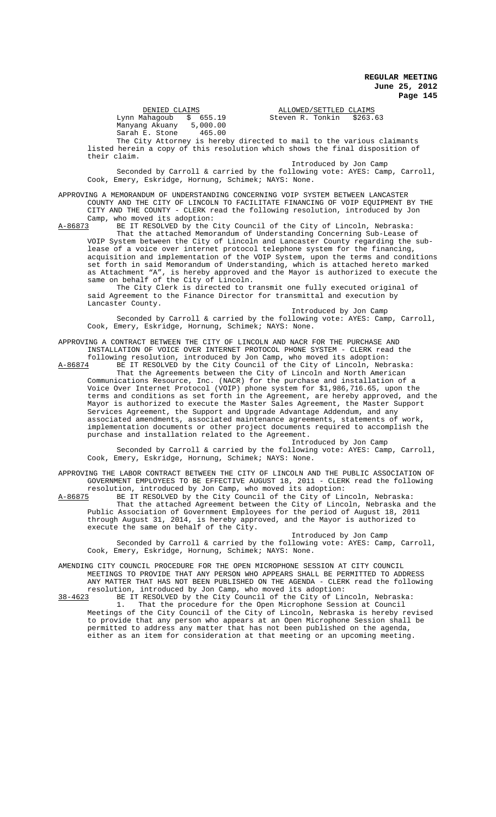Lynn Mahagoub \$ 655.19 Steven R. Tonkin \$263.63 Manyang Akuany 5,000.00 Sarah E. Stone 465.00

DENIED CLAIMS<br>
Mahaqoub \$ 655.19 Steven R. Tonkin \$263.63

The City Attorney is hereby directed to mail to the various claimants listed herein a copy of this resolution which shows the final disposition of their claim.

Introduced by Jon Camp Seconded by Carroll & carried by the following vote: AYES: Camp, Carroll, Cook, Emery, Eskridge, Hornung, Schimek; NAYS: None.

APPROVING A MEMORANDUM OF UNDERSTANDING CONCERNING VOIP SYSTEM BETWEEN LANCASTER COUNTY AND THE CITY OF LINCOLN TO FACILITATE FINANCING OF VOIP EQUIPMENT BY THE CITY AND THE COUNTY - CLERK read the following resolution, introduced by Jon Camp, who moved its adoption:<br>A-86873 BE IT RESOLVED by the O

BE IT RESOLVED by the City Council of the City of Lincoln, Nebraska: That the attached Memorandum of Understanding Concerning Sub-Lease of VOIP System between the City of Lincoln and Lancaster County regarding the sublease of a voice over internet protocol telephone system for the financing, acquisition and implementation of the VOIP System, upon the terms and conditions set forth in said Memorandum of Understanding, which is attached hereto marked as Attachment "A", is hereby approved and the Mayor is authorized to execute the same on behalf of the City of Lincoln.

The City Clerk is directed to transmit one fully executed original of said Agreement to the Finance Director for transmittal and execution by Lancaster County.

Introduced by Jon Camp Seconded by Carroll & carried by the following vote: AYES: Camp, Carroll, Cook, Emery, Eskridge, Hornung, Schimek; NAYS: None.

APPROVING A CONTRACT BETWEEN THE CITY OF LINCOLN AND NACR FOR THE PURCHASE AND INSTALLATION OF VOICE OVER INTERNET PROTOCOL PHONE SYSTEM - CLERK read the

following resolution, introduced by Jon Camp, who moved its adoption: A-86874 BE IT RESOLVED by the City Council of the City of Lincoln, Nebraska: That the Agreements between the City of Lincoln and North American Communications Resource, Inc. (NACR) for the purchase and installation of a Voice Over Internet Protocol (VOIP) phone system for \$1,986,716.65, upon the terms and conditions as set forth in the Agreement, are hereby approved, and the Mayor is authorized to execute the Master Sales Agreement, the Master Support Services Agreement, the Support and Upgrade Advantage Addendum, and any associated amendments, associated maintenance agreements, statements of work, implementation documents or other project documents required to accomplish the purchase and installation related to the Agreement.

Introduced by Jon Camp

Seconded by Carroll & carried by the following vote: AYES: Camp, Carroll, Cook, Emery, Eskridge, Hornung, Schimek; NAYS: None.

APPROVING THE LABOR CONTRACT BETWEEN THE CITY OF LINCOLN AND THE PUBLIC ASSOCIATION OF GOVERNMENT EMPLOYEES TO BE EFFECTIVE AUGUST 18, 2011 - CLERK read the following resolution, introduced by Jon Camp, who moved its adoption:<br>A-86875 BE IT RESOLVED by the City Council of the City of Lin

A-86875 BE IT RESOLVED by the City Council of the City of Lincoln, Nebraska: That the attached Agreement between the City of Lincoln, Nebraska and the Public Association of Government Employees for the period of August 18, 2011 through August 31, 2014, is hereby approved, and the Mayor is authorized to execute the same on behalf of the City.

Introduced by Jon Camp

Seconded by Carroll & carried by the following vote: AYES: Camp, Carroll, Cook, Emery, Eskridge, Hornung, Schimek; NAYS: None.

AMENDING CITY COUNCIL PROCEDURE FOR THE OPEN MICROPHONE SESSION AT CITY COUNCIL MEETINGS TO PROVIDE THAT ANY PERSON WHO APPEARS SHALL BE PERMITTED TO ADDRESS ANY MATTER THAT HAS NOT BEEN PUBLISHED ON THE AGENDA - CLERK read the following resolution, introduced by Jon Camp, who moved its adoption:

38-4623 BE IT RESOLVED by the City Council of the City of Lincoln, Nebraska: 1. That the procedure for the Open Microphone Session at Council Meetings of the City Council of the City of Lincoln, Nebraska is hereby revised to provide that any person who appears at an Open Microphone Session shall be permitted to address any matter that has not been published on the agenda, either as an item for consideration at that meeting or an upcoming meeting.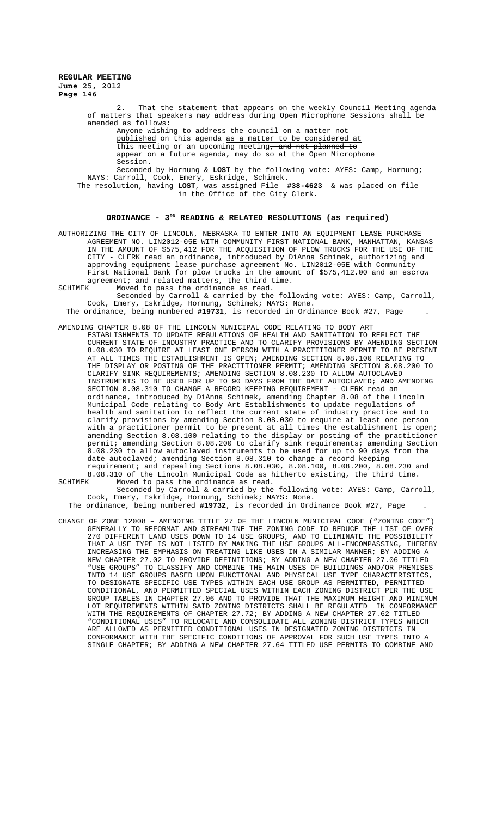2. That the statement that appears on the weekly Council Meeting agenda of matters that speakers may address during Open Microphone Sessions shall be amended as follows: Anyone wishing to address the council on a matter not

published on this agenda as a matter to be considered at this meeting or an upcoming meeting, and not planned to this meeting or an upcoming meeting, and not <del>appear on a future agenda, </del>may do so at the Open Microphone Session.

Seconded by Hornung & **LOST** by the following vote: AYES: Camp, Hornung; NAYS: Carroll, Cook, Emery, Eskridge, Schimek.

The resolution, having **LOST**, was assigned File **#38-4623** & was placed on file in the Office of the City Clerk.

# **ORDINANCE - 3RD READING & RELATED RESOLUTIONS (as required)**

AUTHORIZING THE CITY OF LINCOLN, NEBRASKA TO ENTER INTO AN EQUIPMENT LEASE PURCHASE AGREEMENT NO. LIN2012-05E WITH COMMUNITY FIRST NATIONAL BANK, MANHATTAN, KANSAS IN THE AMOUNT OF \$575,412 FOR THE ACQUISITION OF PLOW TRUCKS FOR THE USE OF THE CITY - CLERK read an ordinance, introduced by DiAnna Schimek, authorizing and approving equipment lease purchase agreement No. LIN2012-05E with Community First National Bank for plow trucks in the amount of \$575,412.00 and an escrow agreement; and related matters, the third time.<br>SCHIMEK Moved to pass the ordinance as read.

Moved to pass the ordinance as read.

Seconded by Carroll & carried by the following vote: AYES: Camp, Carroll, Cook, Emery, Eskridge, Hornung, Schimek; NAYS: None.

The ordinance, being numbered **#19731**, is recorded in Ordinance Book #27, Page .

- AMENDING CHAPTER 8.08 OF THE LINCOLN MUNICIPAL CODE RELATING TO BODY ART ESTABLISHMENTS TO UPDATE REGULATIONS OF HEALTH AND SANITATION TO REFLECT THE CURRENT STATE OF INDUSTRY PRACTICE AND TO CLARIFY PROVISIONS BY AMENDING SECTION 8.08.030 TO REQUIRE AT LEAST ONE PERSON WITH A PRACTITIONER PERMIT TO BE PRESENT AT ALL TIMES THE ESTABLISHMENT IS OPEN; AMENDING SECTION 8.08.100 RELATING TO THE DISPLAY OR POSTING OF THE PRACTITIONER PERMIT; AMENDING SECTION 8.08.200 TO CLARIFY SINK REQUIREMENTS; AMENDING SECTION 8.08.230 TO ALLOW AUTOCLAVED INSTRUMENTS TO BE USED FOR UP TO 90 DAYS FROM THE DATE AUTOCLAVED; AND AMENDING SECTION 8.08.310 TO CHANGE A RECORD KEEPING REQUIREMENT - CLERK read an ordinance, introduced by DiAnna Schimek, amending Chapter 8.08 of the Lincoln Municipal Code relating to Body Art Establishments to update regulations of health and sanitation to reflect the current state of industry practice and to clarify provisions by amending Section 8.08.030 to require at least one person with a practitioner permit to be present at all times the establishment is open; amending Section 8.08.100 relating to the display or posting of the practitioner permit; amending Section 8.08.200 to clarify sink requirements; amending Section 8.08.230 to allow autoclaved instruments to be used for up to 90 days from the date autoclaved; amending Section 8.08.310 to change a record keeping requirement; and repealing Sections 8.08.030, 8.08.100, 8.08.200, 8.08.230 and 8.08.310 of the Lincoln Municipal Code as hitherto existing, the third time.<br>SCHIMEK Moved to pass the ordinance as read.
- Moved to pass the ordinance as read. Seconded by Carroll & carried by the following vote: AYES: Camp, Carroll, Cook, Emery, Eskridge, Hornung, Schimek; NAYS: None.

The ordinance, being numbered **#19732**, is recorded in Ordinance Book #27, Page .

CHANGE OF ZONE 12008 – AMENDING TITLE 27 OF THE LINCOLN MUNICIPAL CODE ("ZONING CODE") GENERALLY TO REFORMAT AND STREAMLINE THE ZONING CODE TO REDUCE THE LIST OF OVER 270 DIFFERENT LAND USES DOWN TO 14 USE GROUPS, AND TO ELIMINATE THE POSSIBILITY THAT A USE TYPE IS NOT LISTED BY MAKING THE USE GROUPS ALL-ENCOMPASSING, THEREBY INCREASING THE EMPHASIS ON TREATING LIKE USES IN A SIMILAR MANNER; BY ADDING A NEW CHAPTER 27.02 TO PROVIDE DEFINITIONS; BY ADDING A NEW CHAPTER 27.06 TITLED "USE GROUPS" TO CLASSIFY AND COMBINE THE MAIN USES OF BUILDINGS AND/OR PREMISES INTO 14 USE GROUPS BASED UPON FUNCTIONAL AND PHYSICAL USE TYPE CHARACTERISTICS, TO DESIGNATE SPECIFIC USE TYPES WITHIN EACH USE GROUP AS PERMITTED, PERMITTED CONDITIONAL, AND PERMITTED SPECIAL USES WITHIN EACH ZONING DISTRICT PER THE USE GROUP TABLES IN CHAPTER 27.06 AND TO PROVIDE THAT THE MAXIMUM HEIGHT AND MINIMUM LOT REQUIREMENTS WITHIN SAID ZONING DISTRICTS SHALL BE REGULATED IN CONFORMANCE WITH THE REQUIREMENTS OF CHAPTER 27.72; BY ADDING A NEW CHAPTER 27.62 TITLED "CONDITIONAL USES" TO RELOCATE AND CONSOLIDATE ALL ZONING DISTRICT TYPES WHICH ARE ALLOWED AS PERMITTED CONDITIONAL USES IN DESIGNATED ZONING DISTRICTS IN CONFORMANCE WITH THE SPECIFIC CONDITIONS OF APPROVAL FOR SUCH USE TYPES INTO A SINGLE CHAPTER; BY ADDING A NEW CHAPTER 27.64 TITLED USE PERMITS TO COMBINE AND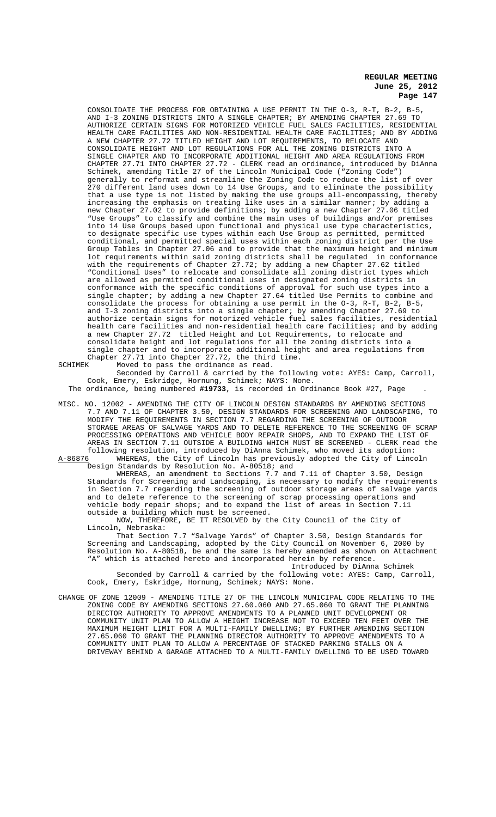CONSOLIDATE THE PROCESS FOR OBTAINING A USE PERMIT IN THE O-3, R-T, B-2, B-5, AND I-3 ZONING DISTRICTS INTO A SINGLE CHAPTER; BY AMENDING CHAPTER 27.69 TO AUTHORIZE CERTAIN SIGNS FOR MOTORIZED VEHICLE FUEL SALES FACILITIES, RESIDENTIAL HEALTH CARE FACILITIES AND NON-RESIDENTIAL HEALTH CARE FACILITIES; AND BY ADDING A NEW CHAPTER 27.72 TITLED HEIGHT AND LOT REQUIREMENTS, TO RELOCATE AND CONSOLIDATE HEIGHT AND LOT REGULATIONS FOR ALL THE ZONING DISTRICTS INTO A SINGLE CHAPTER AND TO INCORPORATE ADDITIONAL HEIGHT AND AREA REGULATIONS FROM CHAPTER 27.71 INTO CHAPTER 27.72 - CLERK read an ordinance, introduced by DiAnna Schimek, amending Title 27 of the Lincoln Municipal Code ("Zoning Code") generally to reformat and streamline the Zoning Code to reduce the list of over 270 different land uses down to 14 Use Groups, and to eliminate the possibility that a use type is not listed by making the use groups all-encompassing, thereby increasing the emphasis on treating like uses in a similar manner; by adding a new Chapter 27.02 to provide definitions; by adding a new Chapter 27.06 titled "Use Groups" to classify and combine the main uses of buildings and/or premises into 14 Use Groups based upon functional and physical use type characteristics, to designate specific use types within each Use Group as permitted, permitted conditional, and permitted special uses within each zoning district per the Use Group Tables in Chapter 27.06 and to provide that the maximum height and minimum lot requirements within said zoning districts shall be regulated in conformance with the requirements of Chapter 27.72; by adding a new Chapter 27.62 titled "Conditional Uses" to relocate and consolidate all zoning district types which are allowed as permitted conditional uses in designated zoning districts in conformance with the specific conditions of approval for such use types into a single chapter; by adding a new Chapter 27.64 titled Use Permits to combine and consolidate the process for obtaining a use permit in the O-3, R-T, B-2, B-5, and I-3 zoning districts into a single chapter; by amending Chapter 27.69 to authorize certain signs for motorized vehicle fuel sales facilities, residential health care facilities and non-residential health care facilities; and by adding a new Chapter 27.72 titled Height and Lot Requirements, to relocate and consolidate height and lot regulations for all the zoning districts into a single chapter and to incorporate additional height and area regulations from Chapter 27.71 into Chapter 27.72, the third time. SCHIMEK Moved to pass the ordinance as read.

Seconded by Carroll & carried by the following vote: AYES: Camp, Carroll, Cook, Emery, Eskridge, Hornung, Schimek; NAYS: None.

The ordinance, being numbered **#19733**, is recorded in Ordinance Book #27, Page .

MISC. NO. 12002 - AMENDING THE CITY OF LINCOLN DESIGN STANDARDS BY AMENDING SECTIONS 7.7 AND 7.11 OF CHAPTER 3.50, DESIGN STANDARDS FOR SCREENING AND LANDSCAPING, TO MODIFY THE REQUIREMENTS IN SECTION 7.7 REGARDING THE SCREENING OF OUTDOOR STORAGE AREAS OF SALVAGE YARDS AND TO DELETE REFERENCE TO THE SCREENING OF SCRAP PROCESSING OPERATIONS AND VEHICLE BODY REPAIR SHOPS, AND TO EXPAND THE LIST OF AREAS IN SECTION 7.11 OUTSIDE A BUILDING WHICH MUST BE SCREENED - CLERK read the following resolution, introduced by DiAnna Schimek, who moved its adoption:<br>A-86876 WHEREAS, the City of Lincoln has previously adopted the City of Linco

A-86876 WHEREAS, the City of Lincoln has previously adopted the City of Lincoln Design Standards by Resolution No. A-80518; and

WHEREAS, an amendment to Sections 7.7 and 7.11 of Chapter 3.50, Design Standards for Screening and Landscaping, is necessary to modify the requirements in Section 7.7 regarding the screening of outdoor storage areas of salvage yards and to delete reference to the screening of scrap processing operations and vehicle body repair shops; and to expand the list of areas in Section 7.11 outside a building which must be screened.

NOW, THEREFORE, BE IT RESOLVED by the City Council of the City of Lincoln, Nebraska:

That Section 7.7 "Salvage Yards" of Chapter 3.50, Design Standards for Screening and Landscaping, adopted by the City Council on November 6, 2000 by Resolution No. A-80518, be and the same is hereby amended as shown on Attachment "A" which is attached hereto and incorporated herein by reference.

Introduced by DiAnna Schimek Seconded by Carroll & carried by the following vote: AYES: Camp, Carroll,

Cook, Emery, Eskridge, Hornung, Schimek; NAYS: None.

CHANGE OF ZONE 12009 - AMENDING TITLE 27 OF THE LINCOLN MUNICIPAL CODE RELATING TO THE ZONING CODE BY AMENDING SECTIONS 27.60.060 AND 27.65.060 TO GRANT THE PLANNING DIRECTOR AUTHORITY TO APPROVE AMENDMENTS TO A PLANNED UNIT DEVELOPMENT OR COMMUNITY UNIT PLAN TO ALLOW A HEIGHT INCREASE NOT TO EXCEED TEN FEET OVER THE MAXIMUM HEIGHT LIMIT FOR A MULTI-FAMILY DWELLING; BY FURTHER AMENDING SECTION 27.65.060 TO GRANT THE PLANNING DIRECTOR AUTHORITY TO APPROVE AMENDMENTS TO A COMMUNITY UNIT PLAN TO ALLOW A PERCENTAGE OF STACKED PARKING STALLS ON A DRIVEWAY BEHIND A GARAGE ATTACHED TO A MULTI-FAMILY DWELLING TO BE USED TOWARD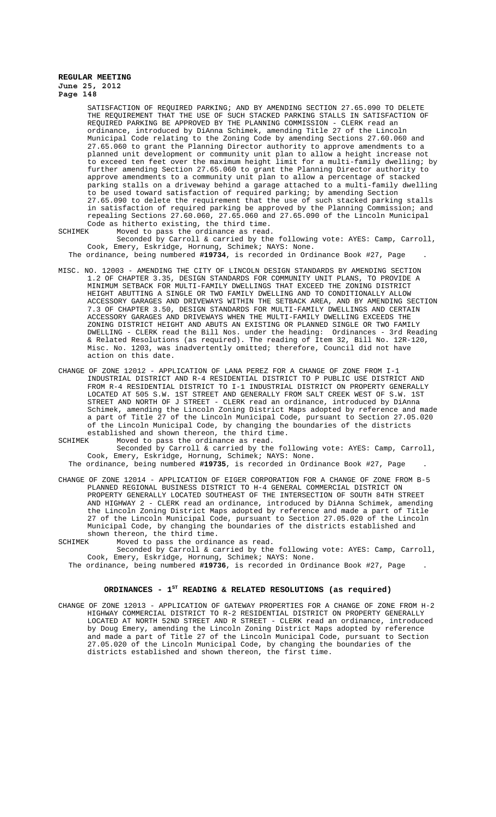SATISFACTION OF REQUIRED PARKING; AND BY AMENDING SECTION 27.65.090 TO DELETE THE REQUIREMENT THAT THE USE OF SUCH STACKED PARKING STALLS IN SATISFACTION OF REQUIRED PARKING BE APPROVED BY THE PLANNING COMMISSION - CLERK read an ordinance, introduced by DiAnna Schimek, amending Title 27 of the Lincoln Municipal Code relating to the Zoning Code by amending Sections 27.60.060 and 27.65.060 to grant the Planning Director authority to approve amendments to a planned unit development or community unit plan to allow a height increase not to exceed ten feet over the maximum height limit for a multi-family dwelling; by further amending Section 27.65.060 to grant the Planning Director authority to approve amendments to a community unit plan to allow a percentage of stacked parking stalls on a driveway behind a garage attached to a multi-family dwelling to be used toward satisfaction of required parking; by amending Section 27.65.090 to delete the requirement that the use of such stacked parking stalls in satisfaction of required parking be approved by the Planning Commission; and repealing Sections 27.60.060, 27.65.060 and 27.65.090 of the Lincoln Municipal Code as hitherto existing, the third time.<br>SCHIMEK Moved to pass the ordinance as read

Moved to pass the ordinance as read.

Seconded by Carroll & carried by the following vote: AYES: Camp, Carroll, Cook, Emery, Eskridge, Hornung, Schimek; NAYS: None.

The ordinance, being numbered **#19734**, is recorded in Ordinance Book #27, Page .

- MISC. NO. 12003 AMENDING THE CITY OF LINCOLN DESIGN STANDARDS BY AMENDING SECTION 1.2 OF CHAPTER 3.35, DESIGN STANDARDS FOR COMMUNITY UNIT PLANS, TO PROVIDE A MINIMUM SETBACK FOR MULTI-FAMILY DWELLINGS THAT EXCEED THE ZONING DISTRICT HEIGHT ABUTTING A SINGLE OR TWO FAMILY DWELLING AND TO CONDITIONALLY ALLOW ACCESSORY GARAGES AND DRIVEWAYS WITHIN THE SETBACK AREA, AND BY AMENDING SECTION 7.3 OF CHAPTER 3.50, DESIGN STANDARDS FOR MULTI-FAMILY DWELLINGS AND CERTAIN ACCESSORY GARAGES AND DRIVEWAYS WHEN THE MULTI-FAMILY DWELLING EXCEEDS THE ZONING DISTRICT HEIGHT AND ABUTS AN EXISTING OR PLANNED SINGLE OR TWO FAMILY DWELLING - CLERK read the Bill Nos. under the heading: Ordinances - 3rd Reading & Related Resolutions (as required). The reading of Item 32, Bill No. 12R-120, Misc. No. 1203, was inadvertently omitted; therefore, Council did not have action on this date.
- CHANGE OF ZONE 12012 APPLICATION OF LANA PEREZ FOR A CHANGE OF ZONE FROM I-1 INDUSTRIAL DISTRICT AND R-4 RESIDENTIAL DISTRICT TO P PUBLIC USE DISTRICT AND FROM R-4 RESIDENTIAL DISTRICT TO I-1 INDUSTRIAL DISTRICT ON PROPERTY GENERALLY LOCATED AT 505 S.W. 1ST STREET AND GENERALLY FROM SALT CREEK WEST OF S.W. 1ST STREET AND NORTH OF J STREET - CLERK read an ordinance, introduced by DiAnna Schimek, amending the Lincoln Zoning District Maps adopted by reference and made a part of Title 27 of the Lincoln Municipal Code, pursuant to Section 27.05.020 of the Lincoln Municipal Code, by changing the boundaries of the districts established and shown thereon, the third time.

SCHIMEK Moved to pass the ordinance as read.

Seconded by Carroll & carried by the following vote: AYES: Camp, Carroll, Cook, Emery, Eskridge, Hornung, Schimek; NAYS: None.

The ordinance, being numbered **#19735**, is recorded in Ordinance Book #27, Page .

- CHANGE OF ZONE 12014 APPLICATION OF EIGER CORPORATION FOR A CHANGE OF ZONE FROM B-5 PLANNED REGIONAL BUSINESS DISTRICT TO H-4 GENERAL COMMERCIAL DISTRICT ON PROPERTY GENERALLY LOCATED SOUTHEAST OF THE INTERSECTION OF SOUTH 84TH STREET AND HIGHWAY 2 - CLERK read an ordinance, introduced by DiAnna Schimek, amending the Lincoln Zoning District Maps adopted by reference and made a part of Title 27 of the Lincoln Municipal Code, pursuant to Section 27.05.020 of the Lincoln Municipal Code, by changing the boundaries of the districts established and shown thereon, the third time.
- SCHIMEK Moved to pass the ordinance as read. Seconded by Carroll & carried by the following vote: AYES: Camp, Carroll,
	- Cook, Emery, Eskridge, Hornung, Schimek; NAYS: None. The ordinance, being numbered **#19736**, is recorded in Ordinance Book #27, Page .

# ORDINANCES - 1<sup>st</sup> READING & RELATED RESOLUTIONS (as required)

CHANGE OF ZONE 12013 - APPLICATION OF GATEWAY PROPERTIES FOR A CHANGE OF ZONE FROM H-2 HIGHWAY COMMERCIAL DISTRICT TO R-2 RESIDENTIAL DISTRICT ON PROPERTY GENERALLY LOCATED AT NORTH 52ND STREET AND R STREET - CLERK read an ordinance, introduced by Doug Emery, amending the Lincoln Zoning District Maps adopted by reference and made a part of Title 27 of the Lincoln Municipal Code, pursuant to Section 27.05.020 of the Lincoln Municipal Code, by changing the boundaries of the districts established and shown thereon, the first time.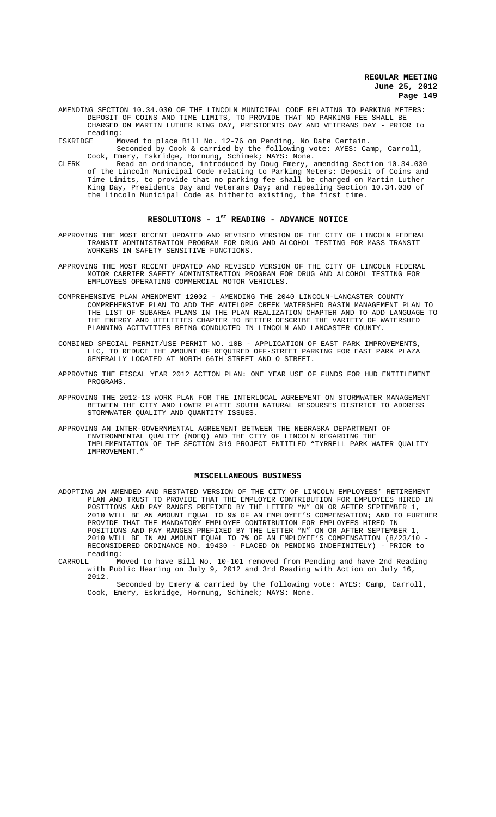- AMENDING SECTION 10.34.030 OF THE LINCOLN MUNICIPAL CODE RELATING TO PARKING METERS: DEPOSIT OF COINS AND TIME LIMITS, TO PROVIDE THAT NO PARKING FEE SHALL BE CHARGED ON MARTIN LUTHER KING DAY, PRESIDENTS DAY AND VETERANS DAY - PRIOR to reading:<br>ESKRIDGE M
- Moved to place Bill No. 12-76 on Pending, No Date Certain.
	- Seconded by Cook & carried by the following vote: AYES: Camp, Carroll, Cook, Emery, Eskridge, Hornung, Schimek; NAYS: None.
- CLERK Read an ordinance, introduced by Doug Emery, amending Section 10.34.030 of the Lincoln Municipal Code relating to Parking Meters: Deposit of Coins and Time Limits, to provide that no parking fee shall be charged on Martin Luther King Day, Presidents Day and Veterans Day; and repealing Section 10.34.030 of the Lincoln Municipal Code as hitherto existing, the first time.

# RESOLUTIONS - 1<sup>st</sup> READING - ADVANCE NOTICE

- APPROVING THE MOST RECENT UPDATED AND REVISED VERSION OF THE CITY OF LINCOLN FEDERAL TRANSIT ADMINISTRATION PROGRAM FOR DRUG AND ALCOHOL TESTING FOR MASS TRANSIT WORKERS IN SAFETY SENSITIVE FUNCTIONS.
- APPROVING THE MOST RECENT UPDATED AND REVISED VERSION OF THE CITY OF LINCOLN FEDERAL MOTOR CARRIER SAFETY ADMINISTRATION PROGRAM FOR DRUG AND ALCOHOL TESTING FOR EMPLOYEES OPERATING COMMERCIAL MOTOR VEHICLES.
- COMPREHENSIVE PLAN AMENDMENT 12002 AMENDING THE 2040 LINCOLN-LANCASTER COUNTY COMPREHENSIVE PLAN TO ADD THE ANTELOPE CREEK WATERSHED BASIN MANAGEMENT PLAN TO THE LIST OF SUBAREA PLANS IN THE PLAN REALIZATION CHAPTER AND TO ADD LANGUAGE TO THE ENERGY AND UTILITIES CHAPTER TO BETTER DESCRIBE THE VARIETY OF WATERSHED PLANNING ACTIVITIES BEING CONDUCTED IN LINCOLN AND LANCASTER COUNTY.
- COMBINED SPECIAL PERMIT/USE PERMIT NO. 10B APPLICATION OF EAST PARK IMPROVEMENTS, LLC, TO REDUCE THE AMOUNT OF REQUIRED OFF-STREET PARKING FOR EAST PARK PLAZA GENERALLY LOCATED AT NORTH 66TH STREET AND O STREET.
- APPROVING THE FISCAL YEAR 2012 ACTION PLAN: ONE YEAR USE OF FUNDS FOR HUD ENTITLEMENT PROGRAMS.
- APPROVING THE 2012-13 WORK PLAN FOR THE INTERLOCAL AGREEMENT ON STORMWATER MANAGEMENT BETWEEN THE CITY AND LOWER PLATTE SOUTH NATURAL RESOURSES DISTRICT TO ADDRESS STORMWATER QUALITY AND QUANTITY ISSUES.
- APPROVING AN INTER-GOVERNMENTAL AGREEMENT BETWEEN THE NEBRASKA DEPARTMENT OF ENVIRONMENTAL QUALITY (NDEQ) AND THE CITY OF LINCOLN REGARDING THE IMPLEMENTATION OF THE SECTION 319 PROJECT ENTITLED "TYRRELL PARK WATER QUALITY IMPROVEMENT."

#### **MISCELLANEOUS BUSINESS**

- ADOPTING AN AMENDED AND RESTATED VERSION OF THE CITY OF LINCOLN EMPLOYEES' RETIREMENT PLAN AND TRUST TO PROVIDE THAT THE EMPLOYER CONTRIBUTION FOR EMPLOYEES HIRED IN POSITIONS AND PAY RANGES PREFIXED BY THE LETTER "N" ON OR AFTER SEPTEMBER 1, 2010 WILL BE AN AMOUNT EQUAL TO 9% OF AN EMPLOYEE'S COMPENSATION; AND TO FURTHER PROVIDE THAT THE MANDATORY EMPLOYEE CONTRIBUTION FOR EMPLOYEES HIRED IN POSITIONS AND PAY RANGES PREFIXED BY THE LETTER "N" ON OR AFTER SEPTEMBER 1, 2010 WILL BE IN AN AMOUNT EQUAL TO 7% OF AN EMPLOYEE'S COMPENSATION (8/23/10 - RECONSIDERED ORDINANCE NO. 19430 - PLACED ON PENDING INDEFINITELY) - PRIOR to reading:<br>CARROLL Mo
- CARROLL Moved to have Bill No. 10-101 removed from Pending and have 2nd Reading with Public Hearing on July 9, 2012 and 3rd Reading with Action on July 16, 2012.

Seconded by Emery & carried by the following vote: AYES: Camp, Carroll, Cook, Emery, Eskridge, Hornung, Schimek; NAYS: None.